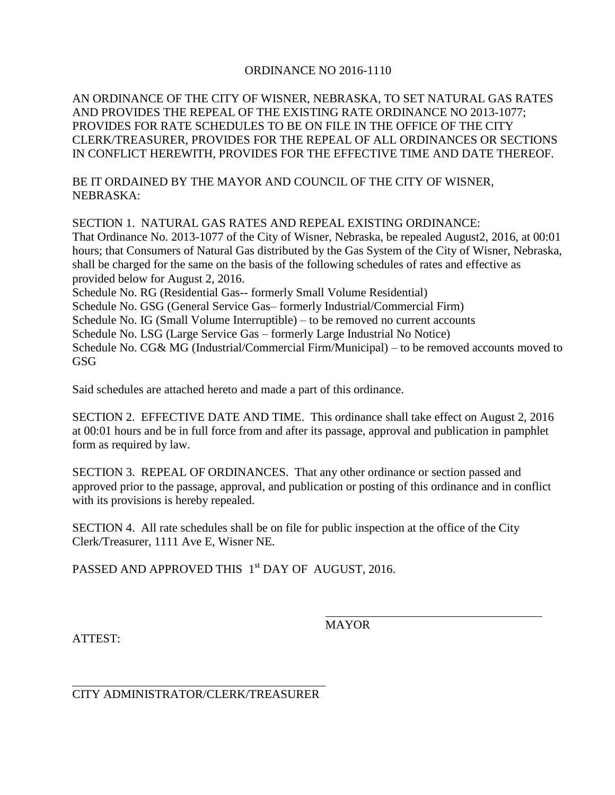## ORDINANCE NO 2016-1110

AN ORDINANCE OF THE CITY OF WISNER, NEBRASKA, TO SET NATURAL GAS RATES AND PROVIDES THE REPEAL OF THE EXISTING RATE ORDINANCE NO 2013-1077; PROVIDES FOR RATE SCHEDULES TO BE ON FILE IN THE OFFICE OF THE CITY CLERK/TREASURER, PROVIDES FOR THE REPEAL OF ALL ORDINANCES OR SECTIONS IN CONFLICT HEREWITH, PROVIDES FOR THE EFFECTIVE TIME AND DATE THEREOF.

BE IT ORDAINED BY THE MAYOR AND COUNCIL OF THE CITY OF WISNER, NEBRASKA:

SECTION 1. NATURAL GAS RATES AND REPEAL EXISTING ORDINANCE: That Ordinance No. 2013-1077 of the City of Wisner, Nebraska, be repealed August2, 2016, at 00:01 hours; that Consumers of Natural Gas distributed by the Gas System of the City of Wisner, Nebraska, shall be charged for the same on the basis of the following schedules of rates and effective as provided below for August 2, 2016. Schedule No. RG (Residential Gas-- formerly Small Volume Residential) Schedule No. GSG (General Service Gas– formerly Industrial/Commercial Firm) Schedule No. IG (Small Volume Interruptible) – to be removed no current accounts Schedule No. LSG (Large Service Gas – formerly Large Industrial No Notice) Schedule No. CG& MG (Industrial/Commercial Firm/Municipal) – to be removed accounts moved to GSG

Said schedules are attached hereto and made a part of this ordinance.

SECTION 2. EFFECTIVE DATE AND TIME. This ordinance shall take effect on August 2, 2016 at 00:01 hours and be in full force from and after its passage, approval and publication in pamphlet form as required by law.

SECTION 3. REPEAL OF ORDINANCES. That any other ordinance or section passed and approved prior to the passage, approval, and publication or posting of this ordinance and in conflict with its provisions is hereby repealed.

SECTION 4. All rate schedules shall be on file for public inspection at the office of the City Clerk/Treasurer, 1111 Ave E, Wisner NE.

PASSED AND APPROVED THIS 1<sup>st</sup> DAY OF AUGUST, 2016.

**MAYOR** 

ATTEST:

CITY ADMINISTRATOR/CLERK/TREASURER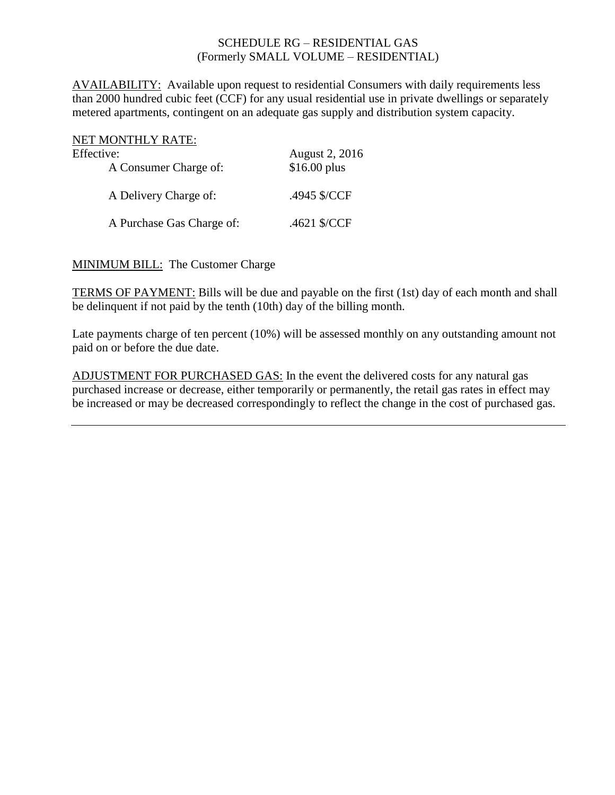## SCHEDULE RG – RESIDENTIAL GAS (Formerly SMALL VOLUME – RESIDENTIAL)

AVAILABILITY: Available upon request to residential Consumers with daily requirements less than 2000 hundred cubic feet (CCF) for any usual residential use in private dwellings or separately metered apartments, contingent on an adequate gas supply and distribution system capacity.

| NET MONTHLY RATE:         |                |
|---------------------------|----------------|
| Effective:                | August 2, 2016 |
| A Consumer Charge of:     | \$16.00 plus   |
| A Delivery Charge of:     | .4945 \$/CCF   |
| A Purchase Gas Charge of: | .4621 \$/CCF   |

MINIMUM BILL: The Customer Charge

TERMS OF PAYMENT: Bills will be due and payable on the first (1st) day of each month and shall be delinquent if not paid by the tenth (10th) day of the billing month.

Late payments charge of ten percent (10%) will be assessed monthly on any outstanding amount not paid on or before the due date.

ADJUSTMENT FOR PURCHASED GAS: In the event the delivered costs for any natural gas purchased increase or decrease, either temporarily or permanently, the retail gas rates in effect may be increased or may be decreased correspondingly to reflect the change in the cost of purchased gas.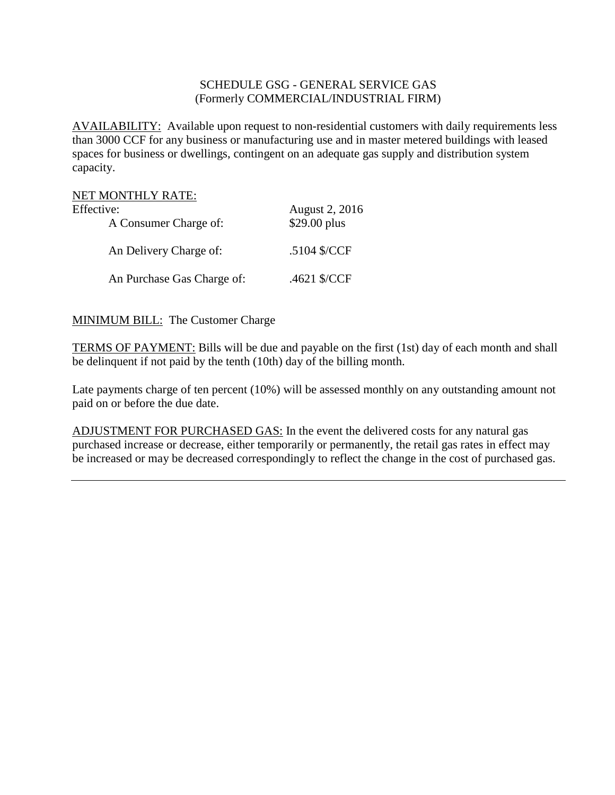## SCHEDULE GSG - GENERAL SERVICE GAS (Formerly COMMERCIAL/INDUSTRIAL FIRM)

AVAILABILITY: Available upon request to non-residential customers with daily requirements less than 3000 CCF for any business or manufacturing use and in master metered buildings with leased spaces for business or dwellings, contingent on an adequate gas supply and distribution system capacity.

| NET MONTHLY RATE:          |                |
|----------------------------|----------------|
| Effective:                 | August 2, 2016 |
| A Consumer Charge of:      | \$29.00 plus   |
| An Delivery Charge of:     | .5104 \$/CCF   |
| An Purchase Gas Charge of: | .4621 \$/CCF   |

MINIMUM BILL: The Customer Charge

TERMS OF PAYMENT: Bills will be due and payable on the first (1st) day of each month and shall be delinquent if not paid by the tenth (10th) day of the billing month.

Late payments charge of ten percent (10%) will be assessed monthly on any outstanding amount not paid on or before the due date.

ADJUSTMENT FOR PURCHASED GAS: In the event the delivered costs for any natural gas purchased increase or decrease, either temporarily or permanently, the retail gas rates in effect may be increased or may be decreased correspondingly to reflect the change in the cost of purchased gas.